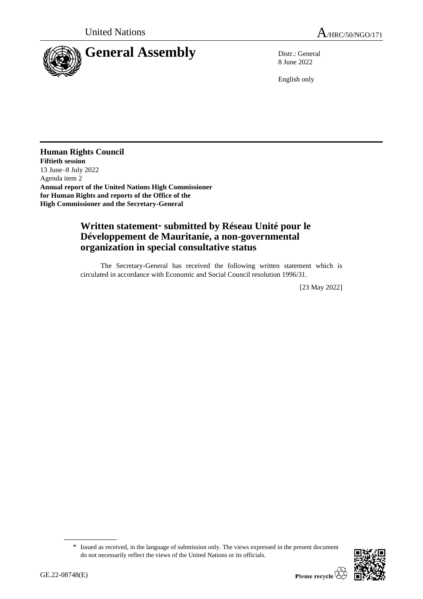



8 June 2022

English only

**Human Rights Council Fiftieth session** 13 June–8 July 2022 Agenda item 2 **Annual report of the United Nations High Commissioner for Human Rights and reports of the Office of the High Commissioner and the Secretary-General**

## **Written statement**\* **submitted by Réseau Unité pour le Développement de Mauritanie, a non-governmental organization in special consultative status**

The Secretary-General has received the following written statement which is circulated in accordance with Economic and Social Council resolution 1996/31.

[23 May 2022]

<sup>\*</sup> Issued as received, in the language of submission only. The views expressed in the present document do not necessarily reflect the views of the United Nations or its officials.

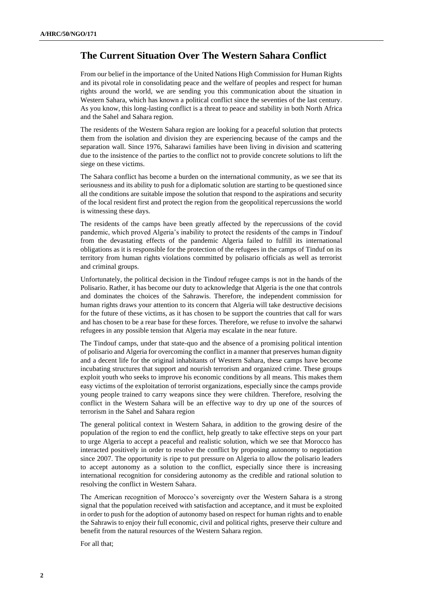## **The Current Situation Over The Western Sahara Conflict**

From our belief in the importance of the United Nations High Commission for Human Rights and its pivotal role in consolidating peace and the welfare of peoples and respect for human rights around the world, we are sending you this communication about the situation in Western Sahara, which has known a political conflict since the seventies of the last century. As you know, this long-lasting conflict is a threat to peace and stability in both North Africa and the Sahel and Sahara region.

The residents of the Western Sahara region are looking for a peaceful solution that protects them from the isolation and division they are experiencing because of the camps and the separation wall. Since 1976, Saharawi families have been living in division and scattering due to the insistence of the parties to the conflict not to provide concrete solutions to lift the siege on these victims.

The Sahara conflict has become a burden on the international community, as we see that its seriousness and its ability to push for a diplomatic solution are starting to be questioned since all the conditions are suitable impose the solution that respond to the aspirations and security of the local resident first and protect the region from the geopolitical repercussions the world is witnessing these days.

The residents of the camps have been greatly affected by the repercussions of the covid pandemic, which proved Algeria's inability to protect the residents of the camps in Tindouf from the devastating effects of the pandemic Algeria failed to fulfill its international obligations as it is responsible for the protection of the refugees in the camps of Tinduf on its territory from human rights violations committed by polisario officials as well as terrorist and criminal groups.

Unfortunately, the political decision in the Tindouf refugee camps is not in the hands of the Polisario. Rather, it has become our duty to acknowledge that Algeria is the one that controls and dominates the choices of the Sahrawis. Therefore, the independent commission for human rights draws your attention to its concern that Algeria will take destructive decisions for the future of these victims, as it has chosen to be support the countries that call for wars and has chosen to be a rear base for these forces. Therefore, we refuse to involve the saharwi refugees in any possible tension that Algeria may escalate in the near future.

The Tindouf camps, under that state-quo and the absence of a promising political intention of polisario and Algeria for overcoming the conflict in a manner that preserves human dignity and a decent life for the original inhabitants of Western Sahara, these camps have become incubating structures that support and nourish terrorism and organized crime. These groups exploit youth who seeks to improve his economic conditions by all means. This makes them easy victims of the exploitation of terrorist organizations, especially since the camps provide young people trained to carry weapons since they were children. Therefore, resolving the conflict in the Western Sahara will be an effective way to dry up one of the sources of terrorism in the Sahel and Sahara region

The general political context in Western Sahara, in addition to the growing desire of the population of the region to end the conflict, help greatly to take effective steps on your part to urge Algeria to accept a peaceful and realistic solution, which we see that Morocco has interacted positively in order to resolve the conflict by proposing autonomy to negotiation since 2007. The opportunity is ripe to put pressure on Algeria to allow the polisario leaders to accept autonomy as a solution to the conflict, especially since there is increasing international recognition for considering autonomy as the credible and rational solution to resolving the conflict in Western Sahara.

The American recognition of Morocco's sovereignty over the Western Sahara is a strong signal that the population received with satisfaction and acceptance, and it must be exploited in order to push for the adoption of autonomy based on respect for human rights and to enable the Sahrawis to enjoy their full economic, civil and political rights, preserve their culture and benefit from the natural resources of the Western Sahara region.

For all that;